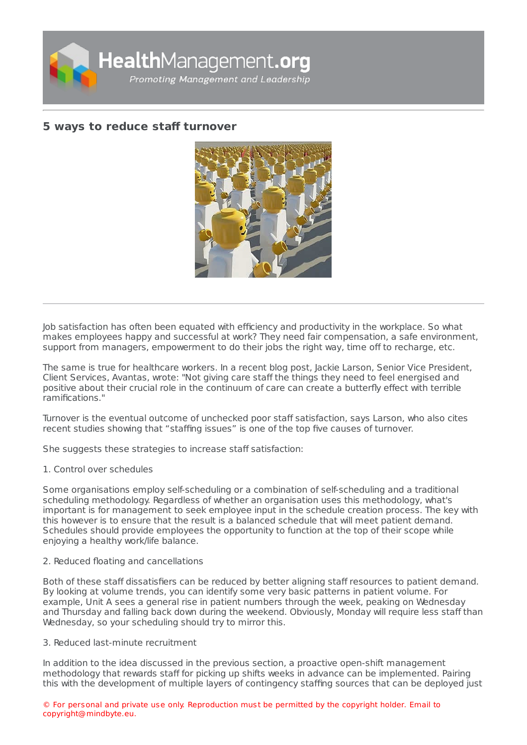

# **5 ways to reduce staff [turnover](https://healthmanagement.org/s/5-ways-to-reduce-staff-turnover)**



Job satisfaction has often been equated with efficiency and productivity in the workplace. So what makes employees happy and successful at work? They need fair compensation, a safe environment, support from managers, empowerment to do their jobs the right way, time off to recharge, etc.

The same is true for healthcare workers. In a recent blog post, Jackie Larson, Senior Vice President, Client Services, Avantas, wrote: "Not giving care staff the things they need to feel energised and positive about their crucial role in the continuum of care can create a butterfly effect with terrible ramifications."

Turnover is the eventual outcome of unchecked poor staff satisfaction, says Larson, who also cites recent studies showing that "staffing issues" is one of the top five causes of turnover.

She suggests these strategies to increase staff satisfaction:

1. Control over schedules

Some organisations employ self-scheduling or a combination of self-scheduling and a traditional scheduling methodology. Regardless of whether an organisation uses this methodology, what's important is for management to seek employee input in the schedule creation process. The key with this however is to ensure that the result is a balanced schedule that will meet patient demand. Schedules should provide employees the opportunity to function at the top of their scope while enjoying a healthy work/life balance.

## 2. Reduced floating and cancellations

Both of these staff dissatisfiers can be reduced by better aligning staff resources to patient demand. By looking at volume trends, you can identify some very basic patterns in patient volume. For example, Unit A sees a general rise in patient numbers through the week, peaking on Wednesday and Thursday and falling back down during the weekend. Obviously, Monday will require less staff than Wednesday, so your scheduling should try to mirror this.

## 3. Reduced last-minute recruitment

In addition to the idea discussed in the previous section, a proactive open-shift management methodology that rewards staff for picking up shifts weeks in advance can be implemented. Pairing this with the development of multiple layers of contingency staffing sources that can be deployed just

© For personal and private use only. Reproduction must be permitted by the copyright holder. Email to copyright@mindbyte.eu.